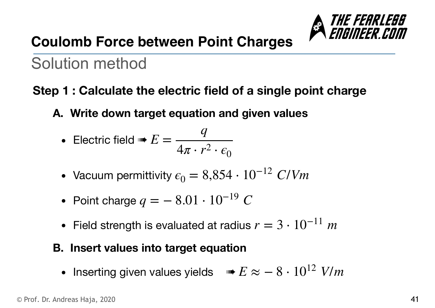

## **Coulomb Force between Point Charges**

# Solution method

### **Step 1 : Calculate the electric field of a single point charge**

**A. Write down target equation and given values** 

• Electric field 
$$
\blacksquare E = \frac{q}{4\pi \cdot r^2 \cdot \epsilon_0}
$$

- Vacuum permittivity  $\epsilon_0 = 8,854 \cdot 10^{-12}$  *C/Vm*
- Point charge  $q = -8.01 \cdot 10^{-19} C$
- Field strength is evaluated at radius *r* = 3 ⋅ 10−<sup>11</sup> *m*

#### **B. Insert values into target equation**

• Inserting given values yields  $\Rightarrow E \approx -8 \cdot 10^{12}$  *V/m*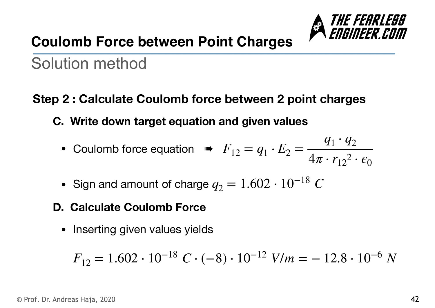

## **Coulomb Force between Point Charges**

# Solution method

### **Step 2 : Calculate Coulomb force between 2 point charges**

- **C. Write down target equation and given values** 
	- Coulomb force equation  $\mathbf{F}_{12} = q_1 \cdot E_2 =$  $q_1 \cdot q_2$  $4\pi \cdot r_{12}^2 \cdot \epsilon_0$
	- Sign and amount of charge  $q_2 = 1.602 \cdot 10^{-18}$  *C*

#### **D. Calculate Coulomb Force**

• Inserting given values yields

$$
F_{12} = 1.602 \cdot 10^{-18} \ C \cdot (-8) \cdot 10^{-12} \ V/m = -12.8 \cdot 10^{-6} \ N
$$